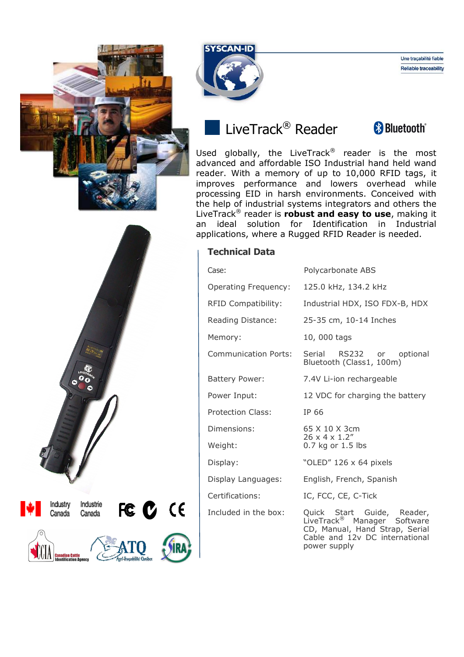



**Reliable traceability** 

Une tracabilité fiable

## LiveTrack<sup>®</sup> Reader



Used globally, the LiveTrack<sup>®</sup> reader is the most advanced and affordable ISO Industrial hand held wand reader. With a memory of up to 10,000 RFID tags, it improves performance and lowers overhead while processing EID in harsh environments. Conceived with the help of industrial systems integrators and others the LiveTrack® reader is **robust and easy to use**, making it an ideal solution for Identification in Industrial applications, where a Rugged RFID Reader is needed.

## **Technical Data**

| Case:                       | Polycarbonate ABS                                                                                                                                         |  |  |  |  |
|-----------------------------|-----------------------------------------------------------------------------------------------------------------------------------------------------------|--|--|--|--|
| <b>Operating Frequency:</b> | 125.0 kHz, 134.2 kHz                                                                                                                                      |  |  |  |  |
| <b>RFID Compatibility:</b>  | Industrial HDX, ISO FDX-B, HDX                                                                                                                            |  |  |  |  |
| Reading Distance:           | 25-35 cm, 10-14 Inches                                                                                                                                    |  |  |  |  |
| Memory:                     | 10,000 tags                                                                                                                                               |  |  |  |  |
| Communication Ports:        | Serial RS232 or optional<br>Bluetooth (Class1, 100m)                                                                                                      |  |  |  |  |
| <b>Battery Power:</b>       | 7.4V Li-ion rechargeable                                                                                                                                  |  |  |  |  |
| Power Input:                | 12 VDC for charging the battery                                                                                                                           |  |  |  |  |
| <b>Protection Class:</b>    | IP 66                                                                                                                                                     |  |  |  |  |
| Dimensions:                 | 65 X 10 X 3cm<br>$26 \times 4 \times 1.2$ "                                                                                                               |  |  |  |  |
| Weight:                     | 0.7 kg or 1.5 lbs                                                                                                                                         |  |  |  |  |
| Display:                    | "OLED" 126 x 64 pixels                                                                                                                                    |  |  |  |  |
| Display Languages:          | English, French, Spanish                                                                                                                                  |  |  |  |  |
| Certifications:             | IC, FCC, CE, C-Tick                                                                                                                                       |  |  |  |  |
| Included in the box:        | Quick Start Guide, Reader,<br>LiveTrack <sup>®</sup> Manager Software<br>CD, Manual, Hand Strap, Serial<br>Cable and 12v DC international<br>power supply |  |  |  |  |